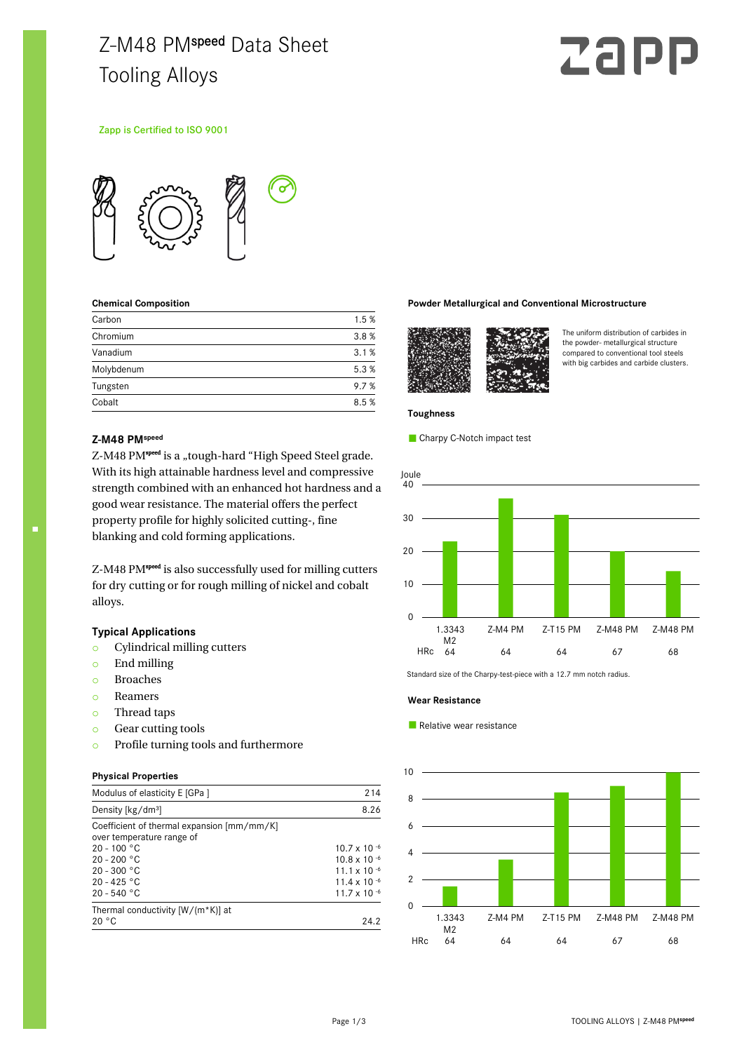# Z-M48 PMspeed Data Sheet Tooling Alloys

# **Zal**

## Zapp is Certified to ISO 9001



#### **Chemical Composition**

| Carbon     | 1.5% |
|------------|------|
| Chromium   | 3.8% |
| Vanadium   | 3.1% |
| Molybdenum | 5.3% |
| Tungsten   | 9.7% |
| Cobalt     | 8.5% |

#### **Z-M48 PMspeed**

Z-M48 PM<sup>speed</sup> is a "tough-hard "High Speed Steel grade. With its high attainable hardness level and compressive strength combined with an enhanced hot hardness and a good wear resistance. The material offers the perfect property profile for highly solicited cutting-, fine blanking and cold forming applications.

Z-M48 PM<sup>speed</sup> is also successfully used for milling cutters for dry cutting or for rough milling of nickel and cobalt alloys.

# **Typical Applications**

- o Cylindrical milling cutters
- o End milling
- o Broaches
- o Reamers
- o Thread taps
- o Gear cutting tools
- o Profile turning tools and furthermore

#### **Physical Properties**

| Modulus of elasticity E [GPa ]                                          | 214                   |  |
|-------------------------------------------------------------------------|-----------------------|--|
| Density [kg/dm <sup>3</sup> ]                                           | 8.26                  |  |
| Coefficient of thermal expansion [mm/mm/K]<br>over temperature range of |                       |  |
| $20 - 100 °C$                                                           | $10.7 \times 10^{-6}$ |  |
| $20 - 200 °C$                                                           | $10.8 \times 10^{-6}$ |  |
| $20 - 300 °C$                                                           | 11.1 x 10 $^{-6}$     |  |
| $20 - 425 °C$                                                           | $11.4 \times 10^{-6}$ |  |
| $20 - 540 °C$                                                           | 11.7 x 10 $-6$        |  |
| Thermal conductivity $[W/(m*K)]$ at                                     |                       |  |
| 20 °C                                                                   | 24.2                  |  |

#### **Powder Metallurgical and Conventional Microstructure**



The uniform distribution of carbides in the powder- metallurgical structure compared to conventional tool steels with big carbides and carbide clusters.

#### **Toughness**

Charpy C-Notch impact test



Standard size of the Charpy-test-piece with a 12.7 mm notch radius.

#### **Wear Resistance**

Relative wear resistance

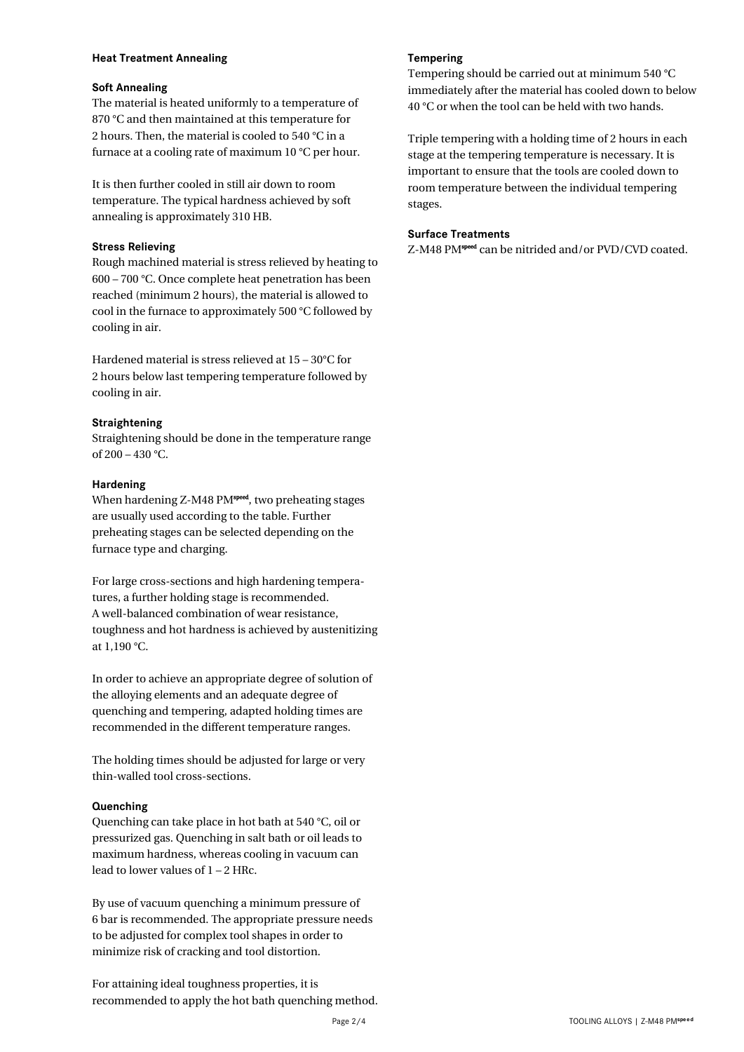# **Heat Treatment Annealing**

# **Soft Annealing**

The material is heated uniformly to a temperature of 870 °C and then maintained at this temperature for 2 hours. Then, the material is cooled to 540 °C in a furnace at a cooling rate of maximum 10 °C per hour.

It is then further cooled in still air down to room temperature. The typical hardness achieved by soft annealing is approximately 310 HB.

# **Stress Relieving**

Rough machined material is stress relieved by heating to 600 – 700 °C. Once complete heat penetration has been reached (minimum 2 hours), the material is allowed to cool in the furnace to approximately 500 °C followed by cooling in air.

Hardened material is stress relieved at 15 – 30°C for 2 hours below last tempering temperature followed by cooling in air.

# **Straightening**

Straightening should be done in the temperature range of 200 – 430 °C.

# **Hardening**

When hardening Z-M48 PM<sup>speed</sup>, two preheating stages are usually used according to the table. Further preheating stages can be selected depending on the furnace type and charging.

For large cross-sections and high hardening temperatures, a further holding stage is recommended. A well-balanced combination of wear resistance, toughness and hot hardness is achieved by austenitizing at 1,190 °C.

In order to achieve an appropriate degree of solution of the alloying elements and an adequate degree of quenching and tempering, adapted holding times are recommended in the different temperature ranges.

The holding times should be adjusted for large or very thin-walled tool cross-sections.

# **Quenching**

Quenching can take place in hot bath at 540 °C, oil or pressurized gas. Quenching in salt bath or oil leads to maximum hardness, whereas cooling in vacuum can lead to lower values of 1 – 2 HRc.

By use of vacuum quenching a minimum pressure of 6 bar is recommended. The appropriate pressure needs to be adjusted for complex tool shapes in order to minimize risk of cracking and tool distortion.

For attaining ideal toughness properties, it is recommended to apply the hot bath quenching method.

# **Tempering**

Tempering should be carried out at minimum 540 °C immediately after the material has cooled down to below 40 °C or when the tool can be held with two hands.

Triple tempering with a holding time of 2 hours in each stage at the tempering temperature is necessary. It is important to ensure that the tools are cooled down to room temperature between the individual tempering stages.

# **Surface Treatments**

Z-M48 PM<sup>speed</sup> can be nitrided and/or PVD/CVD coated.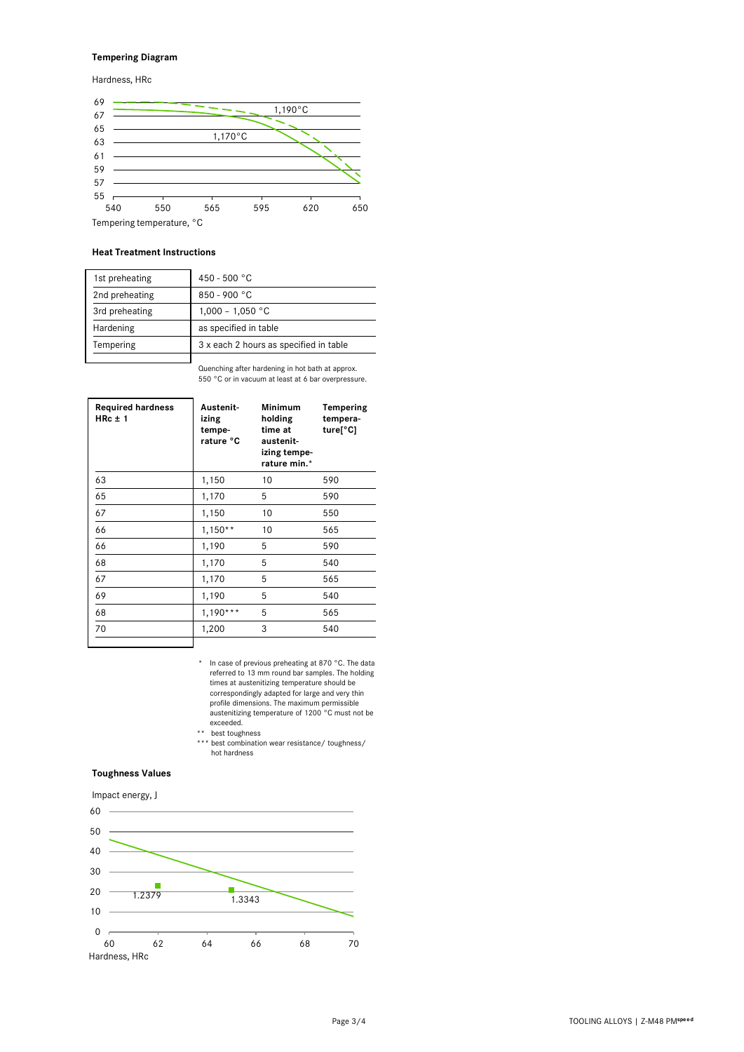# **Tempering Diagram**

Hardness, HRc



#### **Heat Treatment Instructions**

| 1st preheating | 450 - 500 °C                           |
|----------------|----------------------------------------|
| 2nd preheating | 850 - 900 °C                           |
| 3rd preheating | $1,000 - 1,050$ °C                     |
| Hardening      | as specified in table                  |
| Tempering      | 3 x each 2 hours as specified in table |
|                |                                        |

Quenching after hardening in hot bath at approx. 550 °C or in vacuum at least at 6 bar overpressure.

| <b>Required hardness</b><br>$HRC \pm 1$ | Austenit-<br>izing<br>tempe-<br>rature °C | <b>Minimum</b><br>holding<br>time at<br>austenit-<br>izing tempe-<br>rature min.* | Tempering<br>tempera-<br>ture[°C] |
|-----------------------------------------|-------------------------------------------|-----------------------------------------------------------------------------------|-----------------------------------|
| 63                                      | 1,150                                     | 10                                                                                | 590                               |
| 65                                      | 1,170                                     | 5                                                                                 | 590                               |
| 67                                      | 1,150                                     | 10                                                                                | 550                               |
| 66                                      | $1,150**$                                 | 10                                                                                | 565                               |
| 66                                      | 1,190                                     | 5                                                                                 | 590                               |
| 68                                      | 1,170                                     | 5                                                                                 | 540                               |
| 67                                      | 1,170                                     | 5                                                                                 | 565                               |
| 69                                      | 1,190                                     | 5                                                                                 | 540                               |
| 68                                      | $1,190***$                                | 5                                                                                 | 565                               |
| 70                                      | 1,200                                     | 3                                                                                 | 540                               |
|                                         |                                           |                                                                                   |                                   |

- \* In case of previous preheating at 870 °C. The data referred to 13 mm round bar samples. The holding times at austenitizing temperature should be correspondingly adapted for large and very thin profile dimensions. The maximum permissible austenitizing temperature of 1200 °C must not be exceeded.
- 

 \*\* best toughness \*\*\* best combination wear resistance/ toughness/ hot hardness

## **Toughness Values**